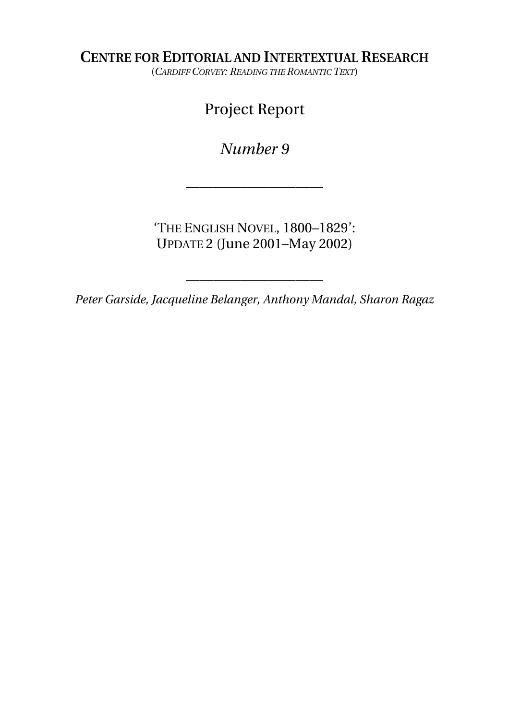**CENTRE FOR EDITORIAL AND INTERTEXTUAL RESEARCH**

(*CARDIFF CORVEY: READING THE ROMANTIC TEXT*)

# Project Report

*Number 9* 

——————————

'THE ENGLISH NOVEL, 1800–1829': UPDATE 2 (June 2001–May 2002)

*Peter Garside, Jacqueline Belanger, Anthony Mandal, Sharon Ragaz*

——————————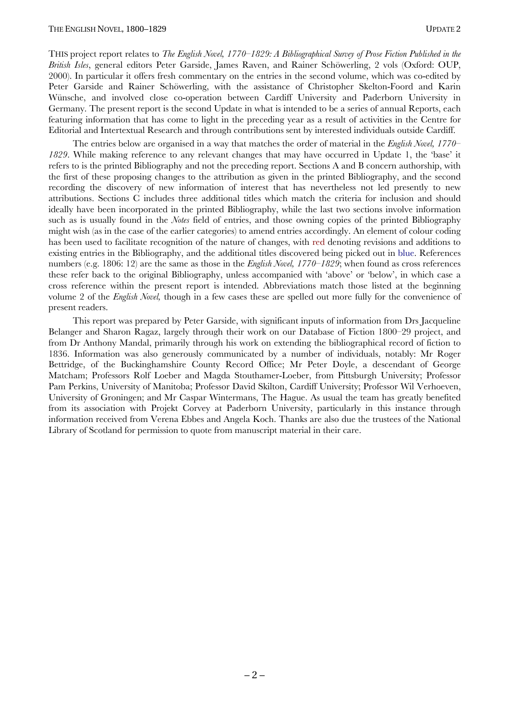THIS project report relates to *The English Novel, 1770–1829: A Bibliographical Survey of Prose Fiction Published in the British Isles*, general editors Peter Garside, James Raven, and Rainer Schöwerling, 2 vols (Oxford: OUP, 2000). In particular it offers fresh commentary on the entries in the second volume, which was co-edited by Peter Garside and Rainer Schöwerling, with the assistance of Christopher Skelton-Foord and Karin Wünsche, and involved close co-operation between Cardiff University and Paderborn University in Germany. The present report is the second Update in what is intended to be a series of annual Reports, each featuring information that has come to light in the preceding year as a result of activities in the Centre for Editorial and Intertextual Research and through contributions sent by interested individuals outside Cardiff.

The entries below are organised in a way that matches the order of material in the *English Novel, 1770 1829*. While making reference to any relevant changes that may have occurred in Update 1, the 'base' it refers to is the printed Bibliography and not the preceding report. Sections A and B concern authorship, with the first of these proposing changes to the attribution as given in the printed Bibliography, and the second recording the discovery of new information of interest that has nevertheless not led presently to new attributions. Sections C includes three additional titles which match the criteria for inclusion and should ideally have been incorporated in the printed Bibliography, while the last two sections involve information such as is usually found in the *Notes* field of entries, and those owning copies of the printed Bibliography might wish (as in the case of the earlier categories) to amend entries accordingly. An element of colour coding has been used to facilitate recognition of the nature of changes, with red denoting revisions and additions to existing entries in the Bibliography, and the additional titles discovered being picked out in blue. References numbers (e.g. 1806: 12) are the same as those in the *English Novel, 1770–1829*; when found as cross references these refer back to the original Bibliography, unless accompanied with 'above' or 'below', in which case a cross reference within the present report is intended. Abbreviations match those listed at the beginning volume 2 of the *English Novel,* though in a few cases these are spelled out more fully for the convenience of present readers.

This report was prepared by Peter Garside, with significant inputs of information from Drs Jacqueline Belanger and Sharon Ragaz, largely through their work on our Database of Fiction 1800–29 project, and from Dr Anthony Mandal, primarily through his work on extending the bibliographical record of fiction to 1836. Information was also generously communicated by a number of individuals, notably: Mr Roger Bettridge, of the Buckinghamshire County Record Office; Mr Peter Doyle, a descendant of George Matcham; Professors Rolf Loeber and Magda Stouthamer-Loeber, from Pittsburgh University; Professor Pam Perkins, University of Manitoba; Professor David Skilton, Cardiff University; Professor Wil Verhoeven, University of Groningen; and Mr Caspar Wintermans, The Hague. As usual the team has greatly benefited from its association with Projekt Corvey at Paderborn University, particularly in this instance through information received from Verena Ebbes and Angela Koch. Thanks are also due the trustees of the National Library of Scotland for permission to quote from manuscript material in their care.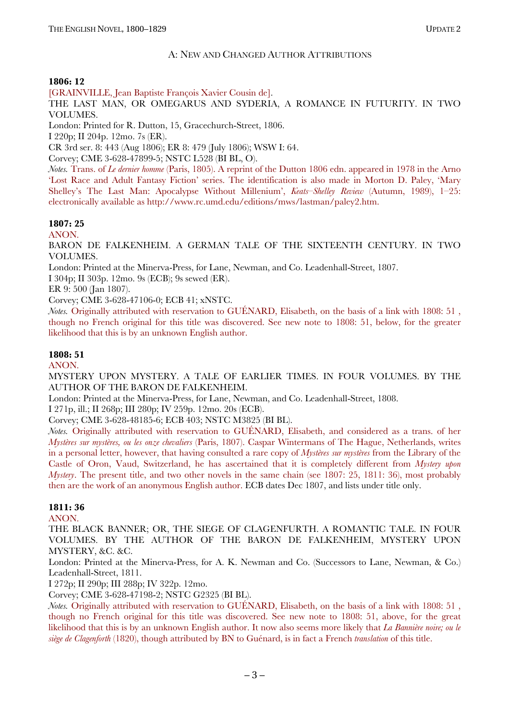### A: NEW AND CHANGED AUTHOR ATTRIBUTIONS

#### **1806: 12**

[GRAINVILLE, Jean Baptiste François Xavier Cousin de].

THE LAST MAN, OR OMEGARUS AND SYDERIA, A ROMANCE IN FUTURITY. IN TWO VOLUMES.

London: Printed for R. Dutton, 15, Gracechurch-Street, 1806.

I 220p; II 204p. 12mo. 7s (ER).

CR 3rd ser. 8: 443 (Aug 1806); ER 8: 479 (July 1806); WSW I: 64.

Corvey; CME 3-628-47899-5; NSTC L528 (BI BL, O).

*Notes.* Trans. of *Le dernier homme* (Paris, 1805). A reprint of the Dutton 1806 edn. appeared in 1978 in the Arno 'Lost Race and Adult Fantasy Fiction' series. The identification is also made in Morton D. Paley, 'Mary Shelley's The Last Man: Apocalypse Without Millenium', *Keats-Shelley Review* (Autumn, 1989), 1-25: electronically available as http://www.rc.umd.edu/editions/mws/lastman/paley2.htm.

### **1807: 25**

ANON.

BARON DE FALKENHEIM. A GERMAN TALE OF THE SIXTEENTH CENTURY. IN TWO VOLUMES.

London: Printed at the Minerva-Press, for Lane, Newman, and Co. Leadenhall-Street, 1807.

I 304p; II 303p. 12mo. 9s (ECB); 9s sewed (ER).

ER 9: 500 (Jan 1807).

Corvey; CME 3-628-47106-0; ECB 41; xNSTC.

*Notes.* Originally attributed with reservation to GUÉNARD, Elisabeth, on the basis of a link with 1808: 51, though no French original for this title was discovered. See new note to 1808: 51, below, for the greater likelihood that this is by an unknown English author.

#### **1808: 51**

ANON.

MYSTERY UPON MYSTERY. A TALE OF EARLIER TIMES. IN FOUR VOLUMES. BY THE AUTHOR OF THE BARON DE FALKENHEIM.

London: Printed at the Minerva-Press, for Lane, Newman, and Co. Leadenhall-Street, 1808.

I 271p, ill.; II 268p; III 280p; IV 259p. 12mo. 20s (ECB).

Corvey; CME 3-628-48185-6; ECB 403; NSTC M3825 (BI BL).

*Notes.* Originally attributed with reservation to GUÉNARD, Elisabeth, and considered as a trans. of her *MystËres sur mystËres, ou les onze chevaliers* (Paris, 1807). Caspar Wintermans of The Hague, Netherlands, writes in a personal letter, however, that having consulted a rare copy of *Mystères sur mystères* from the Library of the Castle of Oron, Vaud, Switzerland, he has ascertained that it is completely different from *Mystery upon Mystery*. The present title, and two other novels in the same chain (see 1807: 25, 1811: 36), most probably then are the work of an anonymous English author. ECB dates Dec 1807, and lists under title only.

#### **1811: 36**

ANON.

THE BLACK BANNER; OR, THE SIEGE OF CLAGENFURTH. A ROMANTIC TALE. IN FOUR VOLUMES. BY THE AUTHOR OF THE BARON DE FALKENHEIM, MYSTERY UPON MYSTERY, &C. &C.

London: Printed at the Minerva-Press, for A. K. Newman and Co. (Successors to Lane, Newman, & Co.) Leadenhall-Street, 1811.

I 272p; II 290p; III 288p; IV 322p. 12mo.

Corvey; CME 3-628-47198-2; NSTC G2325 (BI BL).

*Notes.* Originally attributed with reservation to GUÉNARD, Elisabeth, on the basis of a link with 1808: 51, though no French original for this title was discovered. See new note to 1808: 51, above, for the great likelihood that this is by an unknown English author. It now also seems more likely that *La Bannière noire; ou le siège de Clagenforth* (1820), though attributed by BN to Guénard, is in fact a French *translation* of this title.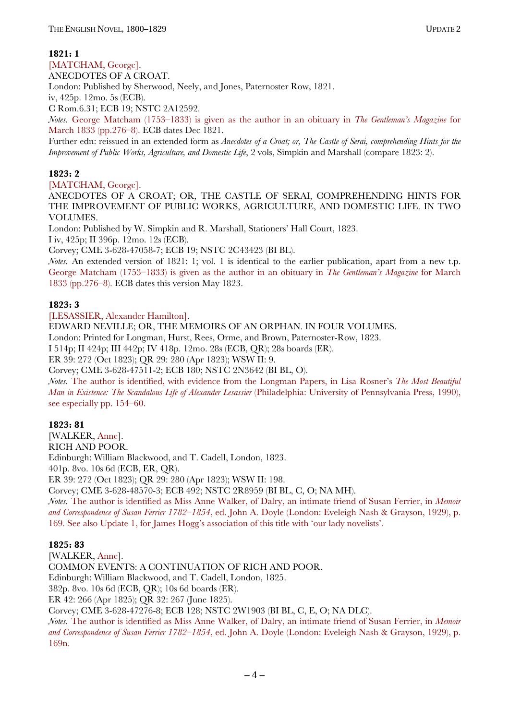#### **1821: 1**

[MATCHAM, George].

ANECDOTES OF A CROAT.

London: Published by Sherwood, Neely, and Jones, Paternoster Row, 1821.

iv, 425p. 12mo. 5s (ECB).

C Rom.6.31; ECB 19; NSTC 2A12592.

*Notes.* George Matcham (1753–1833) is given as the author in an obituary in *The Gentleman's Magazine* for March 1833 (pp.276–8). ECB dates Dec 1821.

Further edn: reissued in an extended form as *Anecdotes of a Croat; or, The Castle of Serai, comprehending Hints for the Improvement of Public Works, Agriculture, and Domestic Life*, 2 vols, Simpkin and Marshall (compare 1823: 2).

## **1823: 2**

[MATCHAM, George].

ANECDOTES OF A CROAT; OR, THE CASTLE OF SERAI, COMPREHENDING HINTS FOR THE IMPROVEMENT OF PUBLIC WORKS, AGRICULTURE, AND DOMESTIC LIFE. IN TWO VOLUMES.

London: Published by W. Simpkin and R. Marshall, Stationers' Hall Court, 1823.

I iv, 425p; II 396p. 12mo. 12s (ECB).

Corvey; CME 3-628-47058-7; ECB 19; NSTC 2C43423 (BI BL).

*Notes.* An extended version of 1821: 1; vol. 1 is identical to the earlier publication, apart from a new t.p. George Matcham (1753–1833) is given as the author in an obituary in *The Gentleman's Magazine* for March 1833 (pp.276*ñ*8). ECB dates this version May 1823.

#### **1823: 3**

[LESASSIER, Alexander Hamilton].

EDWARD NEVILLE; OR, THE MEMOIRS OF AN ORPHAN. IN FOUR VOLUMES.

London: Printed for Longman, Hurst, Rees, Orme, and Brown, Paternoster-Row, 1823.

I 514p; II 424p; III 442p; IV 418p. 12mo. 28s (ECB, QR); 28s boards (ER).

ER 39: 272 (Oct 1823); QR 29: 280 (Apr 1823); WSW II: 9.

Corvey; CME 3-628-47511-2; ECB 180; NSTC 2N3642 (BI BL, O).

*Notes.* The author is identified, with evidence from the Longman Papers, in Lisa Rosner's *The Most Beautiful Man in Existence: The Scandalous Life of Alexander Lesassier* (Philadelphia: University of Pennsylvania Press, 1990), see especially pp. 154<sup> $-60$ </sup>.

#### **1823: 81**

[WALKER, Anne]. RICH AND POOR. Edinburgh: William Blackwood, and T. Cadell, London, 1823.

401p. 8vo. 10s 6d (ECB, ER, QR).

ER 39: 272 (Oct 1823); QR 29: 280 (Apr 1823); WSW II: 198.

Corvey; CME 3-628-48570-3; ECB 492; NSTC 2R8959 (BI BL, C, O; NA MH).

*Notes.* The author is identified as Miss Anne Walker, of Dalry, an intimate friend of Susan Ferrier, in *Memoir*  and Correspondence of Susan Ferrier 1782–1854, ed. John A. Doyle (London: Eveleigh Nash & Grayson, 1929), p. 169. See also Update 1, for James Hoggís association of this title with ëour lady novelistsí.

#### **1825: 83**

[WALKER, Anne]. COMMON EVENTS: A CONTINUATION OF RICH AND POOR. Edinburgh: William Blackwood, and T. Cadell, London, 1825. 382p. 8vo. 10s 6d (ECB, QR); 10s 6d boards (ER). ER 42: 266 (Apr 1825); QR 32: 267 (June 1825). Corvey; CME 3-628-47276-8; ECB 128; NSTC 2W1903 (BI BL, C, E, O; NA DLC). *Notes.* The author is identified as Miss Anne Walker, of Dalry, an intimate friend of Susan Ferrier, in *Memoir and Correspondence of Susan Ferrier 1782–1854*, ed. John A. Doyle (London: Eveleigh Nash & Grayson, 1929), p.

169n.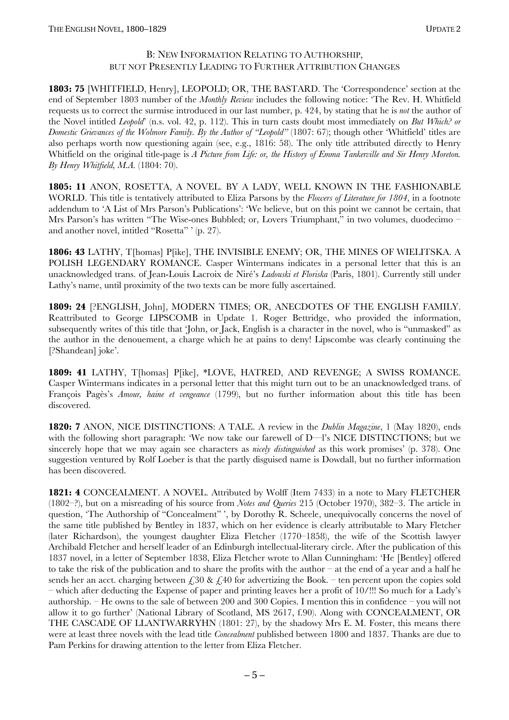#### B: NEW INFORMATION RELATING TO AUTHORSHIP, BUT NOT PRESENTLY LEADING TO FURTHER ATTRIBUTION CHANGES

**1803: 75** [WHITFIELD, Henry], LEOPOLD; OR, THE BASTARD. The 'Correspondence' section at the end of September 1803 number of the *Monthly Review* includes the following notice: ëThe Rev. H. Whitfield requests us to correct the surmise introduced in our last number, p. 424, by stating that he is *not* the author of the Novel intitled *Leopold*<sup>'</sup> (n.s. vol. 42, p. 112). This in turn casts doubt most immediately on *But Which*<sup>2</sup> or *Domestic Grievances of the Wolmore Family. By the Author of "Leopold"* (1807: 67); though other 'Whitfield' titles are also perhaps worth now questioning again (see, e.g., 1816: 58). The only title attributed directly to Henry Whitfield on the original title-page is *A Picture from Life: or, the History of Emma Tankerville and Sir Henry Moreton. By Henry Whitfield, M.A.* (1804: 70).

**1805: 11** ANON, ROSETTA, A NOVEL. BY A LADY, WELL KNOWN IN THE FASHIONABLE WORLD. This title is tentatively attributed to Eliza Parsons by the *Flowers of Literature for 1804*, in a footnote addendum to 'A List of Mrs Parson's Publications': 'We believe, but on this point we cannot be certain, that Mrs Parson's has written "The Wise-ones Bubbled; or, Lovers Triumphant," in two volumes, duodecimo and another novel, intitled "Rosetta"  $\lq$  (p. 27).

**1806: 43** LATHY, T[homas] P[ike], THE INVISIBLE ENEMY; OR, THE MINES OF WIELITSKA. A POLISH LEGENDARY ROMANCE. Casper Wintermans indicates in a personal letter that this is an unacknowledged trans. of Jean-Louis Lacroix de Niré's *Ladouski et Floriska* (Paris, 1801). Currently still under Lathy's name, until proximity of the two texts can be more fully ascertained.

**1809: 24** [?ENGLISH, John], MODERN TIMES; OR, ANECDOTES OF THE ENGLISH FAMILY. Reattributed to George LIPSCOMB in Update 1. Roger Bettridge, who provided the information, subsequently writes of this title that 'John, or Jack, English is a character in the novel, who is "unmasked" as the author in the denouement, a charge which he at pains to deny! Lipscombe was clearly continuing the [?Shandean] joke'.

**1809: 41** LATHY, T[homas] P[ike], \*LOVE, HATRED, AND REVENGE; A SWISS ROMANCE. Casper Wintermans indicates in a personal letter that this might turn out to be an unacknowledged trans. of François Pagès's *Amour, haine et vengeance* (1799), but no further information about this title has been discovered.

**1820: 7** ANON, NICE DISTINCTIONS: A TALE. A review in the *Dublin Magazine*, 1 (May 1820), ends with the following short paragraph: We now take our farewell of  $D$ —l's NICE DISTINCTIONS; but we sincerely hope that we may again see characters as *nicely distinguished* as this work promises' (p. 378). One suggestion ventured by Rolf Loeber is that the partly disguised name is Dowdall, but no further information has been discovered.

**1821: 4** CONCEALMENT. A NOVEL. Attributed by Wolff (Item 7433) in a note to Mary FLETCHER (1802<sup>-</sup>?), but on a misreading of his source from *Notes and Queries* 215 (October 1970), 382–3. The article in question, 'The Authorship of "Concealment" ', by Dorothy R. Scheele, unequivocally concerns the novel of the same title published by Bentley in 1837, which on her evidence is clearly attributable to Mary Fletcher (later Richardson), the youngest daughter Eliza Fletcher (1770–1858), the wife of the Scottish lawyer Archibald Fletcher and herself leader of an Edinburgh intellectual-literary circle. After the publication of this 1837 novel, in a letter of September 1838, Eliza Fletcher wrote to Allan Cunningham: ëHe [Bentley] offered to take the risk of the publication and to share the profits with the author  $-$  at the end of a year and a half he sends her an acct. charging between  $\epsilon$ , 30 &  $\epsilon$ , 40 for advertizing the Book. – ten percent upon the copies sold – which after deducting the Expense of paper and printing leaves her a profit of 10/!!! So much for a Lady's authorship.  $-$  He owns to the sale of between 200 and 300 Copies. I mention this in confidence  $-$  you will not allow it to go further' (National Library of Scotland, MS 2617, f.90). Along with CONCEALMENT, OR THE CASCADE OF LLANTWARRYHN (1801: 27), by the shadowy Mrs E. M. Foster, this means there were at least three novels with the lead title *Concealment* published between 1800 and 1837. Thanks are due to Pam Perkins for drawing attention to the letter from Eliza Fletcher.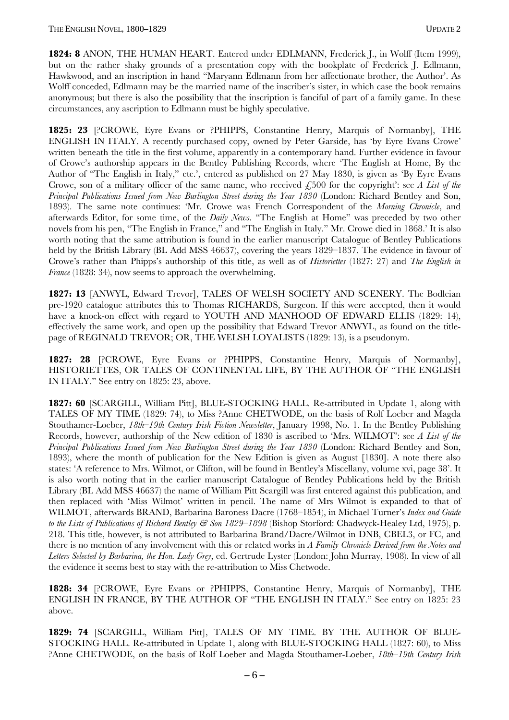**1824: 8** ANON, THE HUMAN HEART. Entered under EDLMANN, Frederick J., in Wolff (Item 1999), but on the rather shaky grounds of a presentation copy with the bookplate of Frederick J. Edlmann, Hawkwood, and an inscription in hand "Maryann Edlmann from her affectionate brother, the Author'. As Wolff conceded, Edlmann may be the married name of the inscriber's sister, in which case the book remains anonymous; but there is also the possibility that the inscription is fanciful of part of a family game. In these circumstances, any ascription to Edlmann must be highly speculative.

**1825: 23** [?CROWE, Eyre Evans or ?PHIPPS, Constantine Henry, Marquis of Normanby], THE ENGLISH IN ITALY. A recently purchased copy, owned by Peter Garside, has 'by Eyre Evans Crowe' written beneath the title in the first volume, apparently in a contemporary hand. Further evidence in favour of Crowe's authorship appears in the Bentley Publishing Records, where 'The English at Home, By the Author of "The English in Italy," etc.', entered as published on 27 May 1830, is given as 'By Eyre Evans Crowe, son of a military officer of the same name, who received  $\epsilon$ ,500 for the copyright: see *A List of the Principal Publications Issued from New Burlington Street during the Year 1830* (London: Richard Bentley and Son, 1893). The same note continues: ëMr. Crowe was French Correspondent of the *Morning Chronicle*, and afterwards Editor, for some time, of the *Daily News*. "The English at Home" was preceded by two other novels from his pen, "The English in France," and "The English in Italy." Mr. Crowe died in 1868.' It is also worth noting that the same attribution is found in the earlier manuscript Catalogue of Bentley Publications held by the British Library (BL Add MSS 46637), covering the years 1829–1837. The evidence in favour of Crowe's rather than Phipps's authorship of this title, as well as of *Historiettes* (1827: 27) and *The English in France* (1828: 34), now seems to approach the overwhelming.

**1827: 13** [ANWYL, Edward Trevor], TALES OF WELSH SOCIETY AND SCENERY. The Bodleian pre-1920 catalogue attributes this to Thomas RICHARDS, Surgeon. If this were accepted, then it would have a knock-on effect with regard to YOUTH AND MANHOOD OF EDWARD ELLIS (1829: 14), effectively the same work, and open up the possibility that Edward Trevor ANWYL, as found on the titlepage of REGINALD TREVOR; OR, THE WELSH LOYALISTS (1829: 13), is a pseudonym.

**1827: 28** [?CROWE, Eyre Evans or ?PHIPPS, Constantine Henry, Marquis of Normanby], HISTORIETTES, OR TALES OF CONTINENTAL LIFE, BY THE AUTHOR OF "THE ENGLISH IN ITALY." See entry on 1825: 23, above.

**1827: 60** [SCARGILL, William Pitt], BLUE-STOCKING HALL. Re-attributed in Update 1, along with TALES OF MY TIME (1829: 74), to Miss ?Anne CHETWODE, on the basis of Rolf Loeber and Magda Stouthamer-Loeber, *18th-19th Century Irish Fiction Newsletter*, January 1998, No. 1. In the Bentley Publishing Records, however, authorship of the New edition of 1830 is ascribed to 'Mrs. WILMOT': see *A List of the Principal Publications Issued from New Burlington Street during the Year 1830* (London: Richard Bentley and Son, 1893), where the month of publication for the New Edition is given as August [1830]. A note there also states: 'A reference to Mrs. Wilmot, or Clifton, will be found in Bentley's Miscellany, volume xvi, page 38'. It is also worth noting that in the earlier manuscript Catalogue of Bentley Publications held by the British Library (BL Add MSS 46637) the name of William Pitt Scargill was first entered against this publication, and then replaced with 'Miss Wilmot' written in pencil. The name of Mrs Wilmot is expanded to that of WILMOT, afterwards BRAND, Barbarina Baroness Dacre (1768–1854), in Michael Turner's *Index and Guide to the Lists of Publications of Richard Bentley & Son 1829–1898* (Bishop Storford: Chadwyck-Healey Ltd, 1975), p. 218. This title, however, is not attributed to Barbarina Brand/Dacre/Wilmot in DNB, CBEL3, or FC, and there is no mention of any involvement with this or related works in *A Family Chronicle Derived from the Notes and Letters Selected by Barbarina, the Hon. Lady Grey*, ed. Gertrude Lyster (London: John Murray, 1908). In view of all the evidence it seems best to stay with the re-attribution to Miss Chetwode.

**1828: 34** [?CROWE, Eyre Evans or ?PHIPPS, Constantine Henry, Marquis of Normanby], THE ENGLISH IN FRANCE, BY THE AUTHOR OF "THE ENGLISH IN ITALY." See entry on 1825: 23 above.

**1829: 74** [SCARGILL, William Pitt], TALES OF MY TIME. BY THE AUTHOR OF BLUE-STOCKING HALL. Re-attributed in Update 1, along with BLUE-STOCKING HALL (1827: 60), to Miss ?Anne CHETWODE, on the basis of Rolf Loeber and Magda Stouthamer-Loeber, 18th–19th Century Irish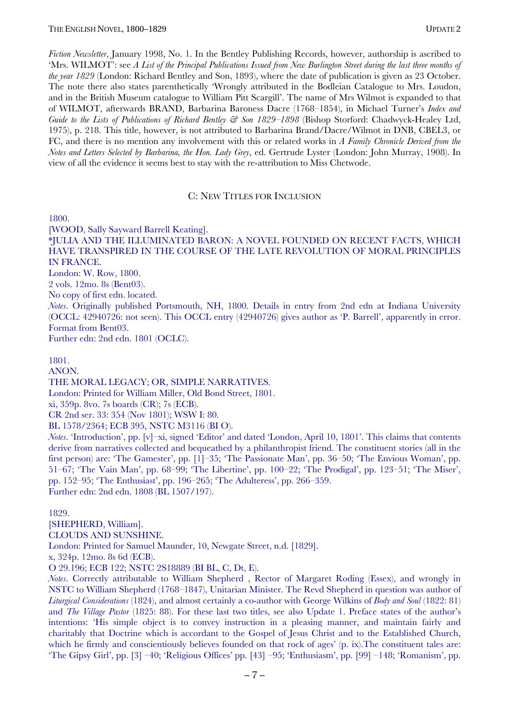*Fiction Newsletter*, January 1998, No. 1. In the Bentley Publishing Records, however, authorship is ascribed to ëMrs. WILMOTí: see *A List of the Principal Publications Issued from New Burlington Street during the last three months of the year 1829* (London: Richard Bentley and Son, 1893), where the date of publication is given as 23 October. The note there also states parenthetically 'Wrongly attributed in the Bodleian Catalogue to Mrs. Loudon, and in the British Museum catalogue to William Pitt Scargill'. The name of Mrs Wilmot is expanded to that of WILMOT, afterwards BRAND, Barbarina Baroness Dacre (1768–1854), in Michael Turner's *Index and Guide to the Lists of Publications of Richard Bentley & Son 1829–1898* (Bishop Storford: Chadwyck-Healey Ltd, 1975), p. 218. This title, however, is not attributed to Barbarina Brand/Dacre/Wilmot in DNB, CBEL3, or FC, and there is no mention any involvement with this or related works in *A Family Chronicle Derived from the Notes and Letters Selected by Barbarina, the Hon. Lady Grey*, ed. Gertrude Lyster (London: John Murray, 1908). In view of all the evidence it seems best to stay with the re-attribution to Miss Chetwode.

#### C: NEW TITLES FOR INCLUSION

1800.

[WOOD, Sally Sayward Barrell Keating].

\*JULIA AND THE ILLUMINATED BARON: A NOVEL FOUNDED ON RECENT FACTS, WHICH HAVE TRANSPIRED IN THE COURSE OF THE LATE REVOLUTION OF MORAL PRINCIPLES IN FRANCE.

London: W. Row, 1800.

2 vols. 12mo. 8s (Bent03).

No copy of first edn. located.

*Notes*. Originally published Portsmouth, NH, 1800. Details in entry from 2nd edn at Indiana University (OCCL: 42940726: not seen). This OCCL entry (42940726) gives author as ëP. Barrellí, apparently in error. Format from Bent03.

Further edn: 2nd edn. 1801 (OCLC).

#### 1801.

ANON.

THE MORAL LEGACY; OR, SIMPLE NARRATIVES.

London: Printed for William Miller, Old Bond Street, 1801.

xi, 359p. 8vo. 7s boards (CR); 7s (ECB).

CR 2nd ser. 33: 354 (Nov 1801); WSW I: 80.

BL 1578/2364; ECB 395, NSTC M3116 (BI O).

*Notes*. 'Introduction', pp.  $[v]$ -xi, signed 'Editor' and dated 'London, April 10, 1801'. This claims that contents derive from narratives collected and bequeathed by a philanthropist friend. The constituent stories (all in the first person) are: 'The Gamester', pp. [1]–35; 'The Passionate Man', pp. 36–50; 'The Envious Woman', pp. 51-67; 'The Vain Man', pp. 68-99; 'The Libertine', pp. 100-22; 'The Prodigal', pp. 123-51; 'The Miser', pp. 152–95; 'The Enthusiast', pp. 196–265; 'The Adulteress', pp. 266–359. Further edn: 2nd edn. 1808 (BL 1507/197).

#### 1829.

[SHEPHERD, William]. CLOUDS AND SUNSHINE.

London: Printed for Samuel Maunder, 10, Newgate Street, n.d. [1829].

x, 324p. 12mo. 8s 6d (ECB).

O 29.196; ECB 122; NSTC 2S18889 (BI BL, C, Dt, E).

*Notes*. Correctly attributable to William Shepherd , Rector of Margaret Roding (Essex), and wrongly in NSTC to William Shepherd (1768–1847), Unitarian Minister. The Revd Shepherd in question was author of *Liturgical Considerations* (1824), and almost certainly a co-author with George Wilkins of *Body and Soul* (1822: 81) and *The Village Pastor* (1825: 88). For these last two titles, see also Update 1. Preface states of the author's intentions: ëHis simple object is to convey instruction in a pleasing manner, and maintain fairly and charitably that Doctrine which is accordant to the Gospel of Jesus Christ and to the Established Church, which he firmly and conscientiously believes founded on that rock of ages'  $(p, ix)$ . The constituent tales are: 'The Gipsy Girl', pp. [3]  $-40$ ; 'Religious Offices' pp. [43]  $-95$ ; 'Enthusiasm', pp. [99]  $-148$ ; 'Romanism', pp.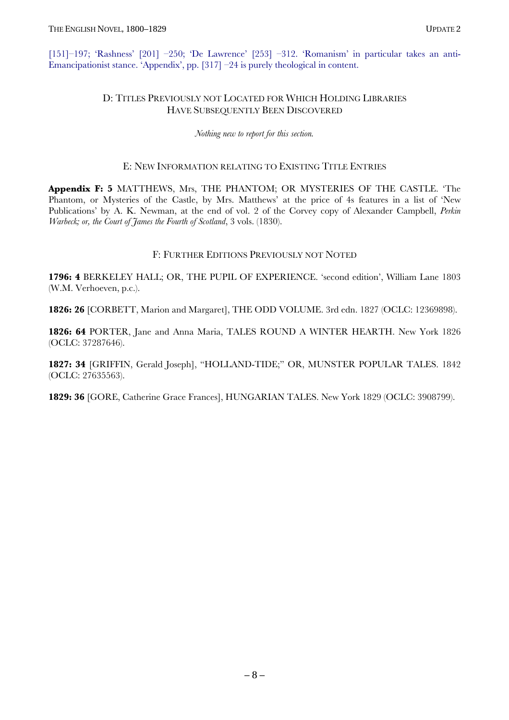[151]–197; 'Rashness' [201]  $-250$ ; 'De Lawrence' [253]  $-312$ . 'Romanism' in particular takes an anti-Emancipationist stance. 'Appendix', pp.  $[317]$  –24 is purely theological in content.

### D: TITLES PREVIOUSLY NOT LOCATED FOR WHICH HOLDING LIBRARIES HAVE SUBSEQUENTLY BEEN DISCOVERED

*Nothing new to report for this section.* 

#### E: NEW INFORMATION RELATING TO EXISTING TITLE ENTRIES

**Appendix F: 5** MATTHEWS, Mrs, THE PHANTOM; OR MYSTERIES OF THE CASTLE. ëThe Phantom, or Mysteries of the Castle, by Mrs. Matthews' at the price of 4s features in a list of 'New Publications' by A. K. Newman, at the end of vol. 2 of the Corvey copy of Alexander Campbell, *Perkin Warbeck; or, the Court of James the Fourth of Scotland*, 3 vols. (1830).

#### F: FURTHER EDITIONS PREVIOUSLY NOT NOTED

1796: 4 BERKELEY HALL; OR, THE PUPIL OF EXPERIENCE. 'second edition', William Lane 1803 (W.M. Verhoeven, p.c.).

**1826: 26** [CORBETT, Marion and Margaret], THE ODD VOLUME. 3rd edn. 1827 (OCLC: 12369898).

**1826: 64** PORTER, Jane and Anna Maria, TALES ROUND A WINTER HEARTH. New York 1826 (OCLC: 37287646).

1827: 34 [GRIFFIN, Gerald Joseph], "HOLLAND-TIDE;" OR, MUNSTER POPULAR TALES. 1842 (OCLC: 27635563).

**1829: 36** [GORE, Catherine Grace Frances], HUNGARIAN TALES. New York 1829 (OCLC: 3908799).